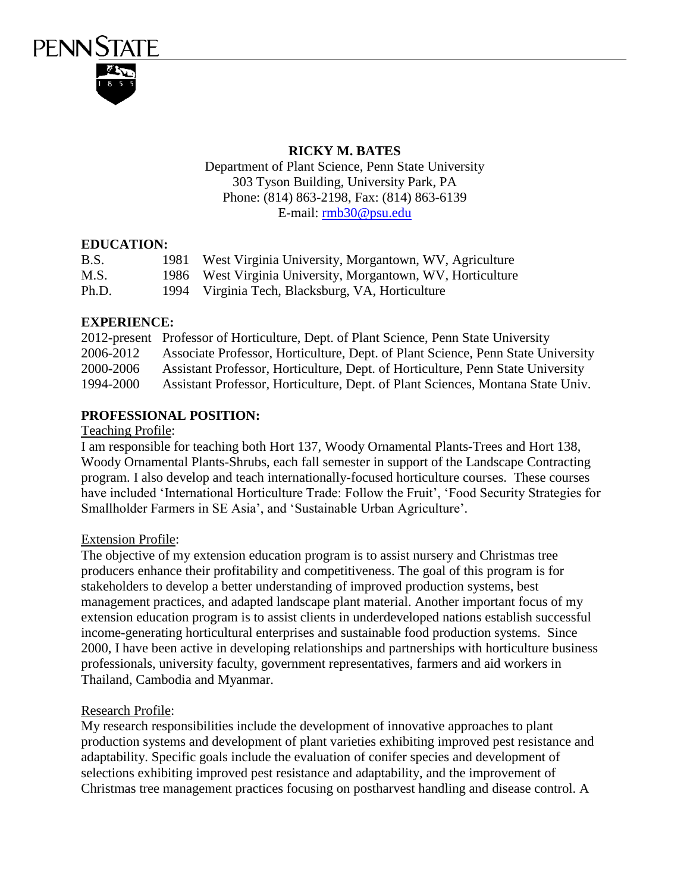

## **RICKY M. BATES**

Department of Plant Science, Penn State University 303 Tyson Building, University Park, PA Phone: (814) 863-2198, Fax: (814) 863-6139 E-mail: [rmb30@psu.edu](mailto:rmb30@psu.edu)

## **EDUCATION:**

| B.S.  | 1981 | West Virginia University, Morgantown, WV, Agriculture       |
|-------|------|-------------------------------------------------------------|
| M.S.  |      | 1986 West Virginia University, Morgantown, WV, Horticulture |
| Ph.D. |      | 1994 Virginia Tech, Blacksburg, VA, Horticulture            |

## **EXPERIENCE:**

|           | 2012-present Professor of Horticulture, Dept. of Plant Science, Penn State University |
|-----------|---------------------------------------------------------------------------------------|
| 2006-2012 | Associate Professor, Horticulture, Dept. of Plant Science, Penn State University      |
| 2000-2006 | Assistant Professor, Horticulture, Dept. of Horticulture, Penn State University       |
| 1994-2000 | Assistant Professor, Horticulture, Dept. of Plant Sciences, Montana State Univ.       |

# **PROFESSIONAL POSITION:**

#### Teaching Profile:

I am responsible for teaching both Hort 137, Woody Ornamental Plants-Trees and Hort 138, Woody Ornamental Plants-Shrubs, each fall semester in support of the Landscape Contracting program. I also develop and teach internationally-focused horticulture courses. These courses have included 'International Horticulture Trade: Follow the Fruit', 'Food Security Strategies for Smallholder Farmers in SE Asia', and 'Sustainable Urban Agriculture'.

## Extension Profile:

The objective of my extension education program is to assist nursery and Christmas tree producers enhance their profitability and competitiveness. The goal of this program is for stakeholders to develop a better understanding of improved production systems, best management practices, and adapted landscape plant material. Another important focus of my extension education program is to assist clients in underdeveloped nations establish successful income-generating horticultural enterprises and sustainable food production systems. Since 2000, I have been active in developing relationships and partnerships with horticulture business professionals, university faculty, government representatives, farmers and aid workers in Thailand, Cambodia and Myanmar.

#### Research Profile:

My research responsibilities include the development of innovative approaches to plant production systems and development of plant varieties exhibiting improved pest resistance and adaptability. Specific goals include the evaluation of conifer species and development of selections exhibiting improved pest resistance and adaptability, and the improvement of Christmas tree management practices focusing on postharvest handling and disease control. A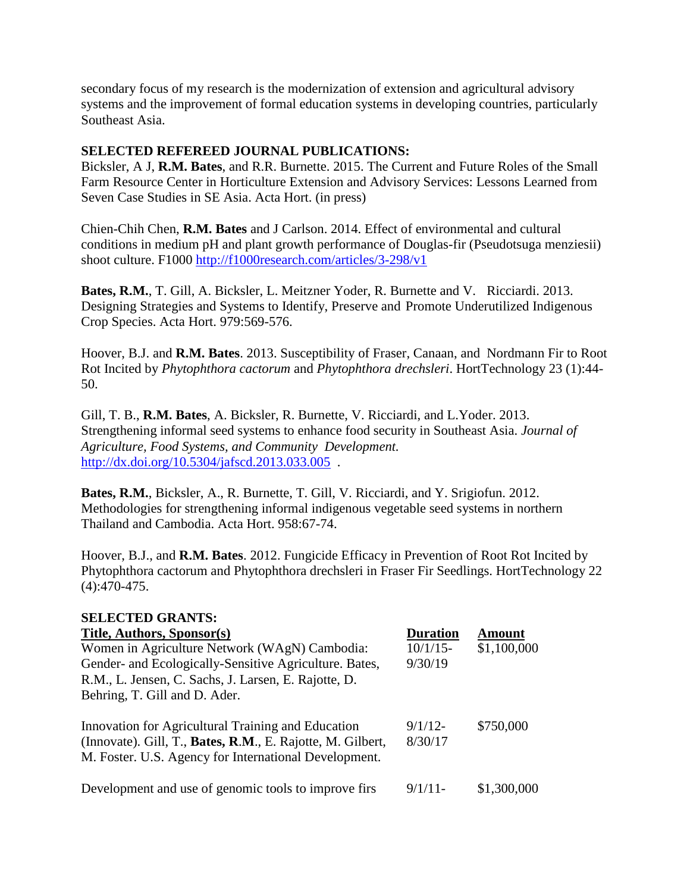secondary focus of my research is the modernization of extension and agricultural advisory systems and the improvement of formal education systems in developing countries, particularly Southeast Asia.

### **SELECTED REFEREED JOURNAL PUBLICATIONS:**

Bicksler, A J, **R.M. Bates**, and R.R. Burnette. 2015. The Current and Future Roles of the Small Farm Resource Center in Horticulture Extension and Advisory Services: Lessons Learned from Seven Case Studies in SE Asia. Acta Hort. (in press)

Chien-Chih Chen, **R.M. Bates** and J Carlson. 2014. Effect of environmental and cultural conditions in medium pH and plant growth performance of Douglas-fir (Pseudotsuga menziesii) shoot culture. F1000<http://f1000research.com/articles/3-298/v1>

**Bates, R.M.**, T. Gill, A. Bicksler, L. Meitzner Yoder, R. Burnette and V. Ricciardi. 2013. Designing Strategies and Systems to Identify, Preserve and Promote Underutilized Indigenous Crop Species. Acta Hort. 979:569-576.

Hoover, B.J. and **R.M. Bates**. 2013. Susceptibility of Fraser, Canaan, and Nordmann Fir to Root Rot Incited by *Phytophthora cactorum* and *Phytophthora drechsleri*. HortTechnology 23 (1):44- 50.

Gill, T. B., **R.M. Bates**, A. Bicksler, R. Burnette, V. Ricciardi, and L.Yoder. 2013. Strengthening informal seed systems to enhance food security in Southeast Asia. *Journal of Agriculture, Food Systems, and Community Development.*  http://dx.doi.org/10.5304/jafscd.2013.033.005.

**Bates, R.M.**, Bicksler, A., R. Burnette, T. Gill, V. Ricciardi, and Y. Srigiofun. 2012. Methodologies for strengthening informal indigenous vegetable seed systems in northern Thailand and Cambodia. Acta Hort. 958:67-74.

Hoover, B.J., and **R.M. Bates**. 2012. Fungicide Efficacy in Prevention of Root Rot Incited by Phytophthora cactorum and Phytophthora drechsleri in Fraser Fir Seedlings. HortTechnology 22 (4):470-475.

#### **SELECTED GRANTS:**

| Title, Authors, Sponsor(s)                                 | <b>Duration</b> | Amount      |
|------------------------------------------------------------|-----------------|-------------|
| Women in Agriculture Network (WAgN) Cambodia:              | $10/1/15$ -     | \$1,100,000 |
| Gender- and Ecologically-Sensitive Agriculture. Bates,     | 9/30/19         |             |
| R.M., L. Jensen, C. Sachs, J. Larsen, E. Rajotte, D.       |                 |             |
| Behring, T. Gill and D. Ader.                              |                 |             |
|                                                            |                 |             |
| Innovation for Agricultural Training and Education         | 9/1/12          | \$750,000   |
| (Innovate). Gill, T., Bates, R.M., E. Rajotte, M. Gilbert, | 8/30/17         |             |
| M. Foster. U.S. Agency for International Development.      |                 |             |
|                                                            |                 |             |
| Development and use of genomic tools to improve firs       | $9/1/11$ -      | \$1,300,000 |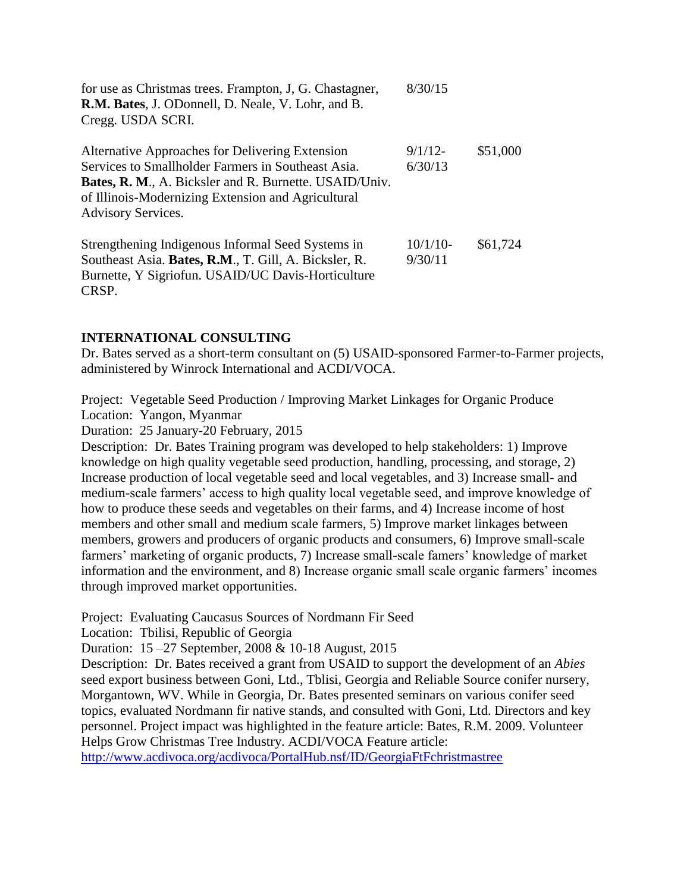| for use as Christmas trees. Frampton, J, G. Chastagner,<br>R.M. Bates, J. ODonnell, D. Neale, V. Lohr, and B.<br>Cregg. USDA SCRI.                                                                                                                        | 8/30/15                |          |
|-----------------------------------------------------------------------------------------------------------------------------------------------------------------------------------------------------------------------------------------------------------|------------------------|----------|
| Alternative Approaches for Delivering Extension<br>Services to Smallholder Farmers in Southeast Asia.<br><b>Bates, R. M., A. Bicksler and R. Burnette. USAID/Univ.</b><br>of Illinois-Modernizing Extension and Agricultural<br><b>Advisory Services.</b> | $9/1/12$ -<br>6/30/13  | \$51,000 |
| Strengthening Indigenous Informal Seed Systems in<br>Southeast Asia. Bates, R.M., T. Gill, A. Bicksler, R.<br>Burnette, Y Sigriofun. USAID/UC Davis-Horticulture<br>CRSP.                                                                                 | $10/1/10$ -<br>9/30/11 | \$61,724 |

#### **INTERNATIONAL CONSULTING**

Dr. Bates served as a short-term consultant on (5) USAID-sponsored Farmer-to-Farmer projects, administered by Winrock International and ACDI/VOCA.

Project: Vegetable Seed Production / Improving Market Linkages for Organic Produce Location: Yangon, Myanmar

Duration: 25 January-20 February, 2015

Description: Dr. Bates Training program was developed to help stakeholders: 1) Improve knowledge on high quality vegetable seed production, handling, processing, and storage, 2) Increase production of local vegetable seed and local vegetables, and 3) Increase small- and medium-scale farmers' access to high quality local vegetable seed, and improve knowledge of how to produce these seeds and vegetables on their farms, and 4) Increase income of host members and other small and medium scale farmers, 5) Improve market linkages between members, growers and producers of organic products and consumers, 6) Improve small-scale farmers' marketing of organic products, 7) Increase small-scale famers' knowledge of market information and the environment, and 8) Increase organic small scale organic farmers' incomes through improved market opportunities.

Project: Evaluating Caucasus Sources of Nordmann Fir Seed

Location: Tbilisi, Republic of Georgia

Duration: 15 –27 September, 2008 & 10-18 August, 2015

Description: Dr. Bates received a grant from USAID to support the development of an *Abies* seed export business between Goni, Ltd., Tblisi, Georgia and Reliable Source conifer nursery, Morgantown, WV. While in Georgia, Dr. Bates presented seminars on various conifer seed topics, evaluated Nordmann fir native stands, and consulted with Goni, Ltd. Directors and key personnel. Project impact was highlighted in the feature article: Bates, R.M. 2009. Volunteer Helps Grow Christmas Tree Industry. ACDI/VOCA Feature article:

<http://www.acdivoca.org/acdivoca/PortalHub.nsf/ID/GeorgiaFtFchristmastree>